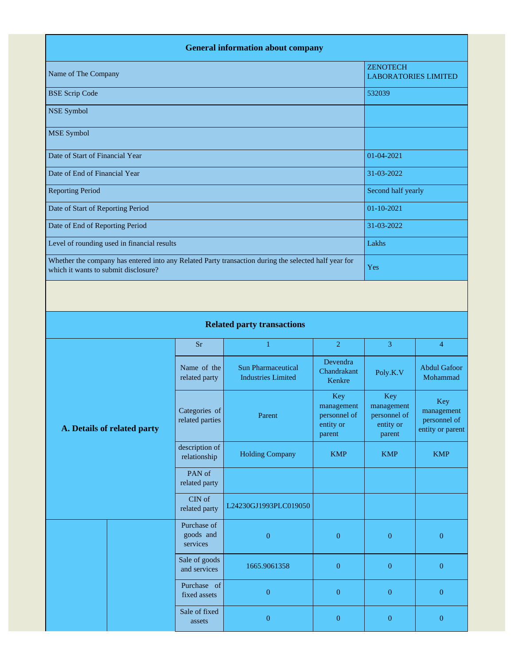|                                                                                                                                              |                                  | <b>General information about company</b>               |                                   |                                                |                                   |  |
|----------------------------------------------------------------------------------------------------------------------------------------------|----------------------------------|--------------------------------------------------------|-----------------------------------|------------------------------------------------|-----------------------------------|--|
| Name of The Company                                                                                                                          |                                  |                                                        |                                   | <b>ZENOTECH</b><br><b>LABORATORIES LIMITED</b> |                                   |  |
| <b>BSE Scrip Code</b>                                                                                                                        |                                  |                                                        |                                   | 532039                                         |                                   |  |
| <b>NSE Symbol</b>                                                                                                                            |                                  |                                                        |                                   |                                                |                                   |  |
| <b>MSE</b> Symbol                                                                                                                            |                                  |                                                        |                                   |                                                |                                   |  |
| Date of Start of Financial Year                                                                                                              |                                  |                                                        |                                   | 01-04-2021                                     |                                   |  |
| Date of End of Financial Year                                                                                                                |                                  |                                                        |                                   | 31-03-2022                                     |                                   |  |
| <b>Reporting Period</b>                                                                                                                      |                                  |                                                        |                                   | Second half yearly                             |                                   |  |
| Date of Start of Reporting Period                                                                                                            |                                  |                                                        |                                   | 01-10-2021                                     |                                   |  |
| Date of End of Reporting Period                                                                                                              |                                  |                                                        |                                   | 31-03-2022                                     |                                   |  |
| Level of rounding used in financial results                                                                                                  |                                  |                                                        |                                   |                                                | Lakhs                             |  |
| Whether the company has entered into any Related Party transaction during the selected half year for<br>which it wants to submit disclosure? |                                  |                                                        |                                   |                                                | Yes                               |  |
|                                                                                                                                              |                                  |                                                        |                                   |                                                |                                   |  |
|                                                                                                                                              |                                  | <b>Related party transactions</b>                      |                                   |                                                |                                   |  |
|                                                                                                                                              | 3                                | $\overline{4}$                                         |                                   |                                                |                                   |  |
|                                                                                                                                              | Name of the<br>related party     | <b>Sun Pharmaceutical</b><br><b>Industries Limited</b> | Devendra<br>Chandrakant<br>Kenkre | Poly.K.V                                       | <b>Abdul Gafoor</b><br>Mohammad   |  |
|                                                                                                                                              | Categories of<br>rolated nortice | Parent                                                 | Key<br>management<br>personnel of | Key<br>management<br>personnel of              | Key<br>management<br>norgannal of |  |

## **A. Details of related party**

| arty | Categories of<br>related parties     | Parent                 | Key<br>management<br>personnel of<br>entity or<br>parent | Key<br>management<br>personnel of<br>entity or<br>parent | Key<br>management<br>personnel of<br>entity or parent |
|------|--------------------------------------|------------------------|----------------------------------------------------------|----------------------------------------------------------|-------------------------------------------------------|
|      | description of<br>relationship       | <b>Holding Company</b> | <b>KMP</b>                                               | <b>KMP</b>                                               | <b>KMP</b>                                            |
|      | PAN of<br>related party              |                        |                                                          |                                                          |                                                       |
|      | CIN of<br>related party              | L24230GJ1993PLC019050  |                                                          |                                                          |                                                       |
|      | Purchase of<br>goods and<br>services | $\Omega$               | $\overline{0}$                                           | $\theta$                                                 | $\Omega$                                              |
|      | Sale of goods<br>and services        | 1665.9061358           | $\overline{0}$                                           | $\theta$                                                 | $\theta$                                              |
|      | Purchase of<br>fixed assets          | $\theta$               | $\overline{0}$                                           | $\theta$                                                 | $\overline{0}$                                        |
|      | Sale of fixed<br>assets              | $\Omega$               | $\theta$                                                 | 0                                                        | 0                                                     |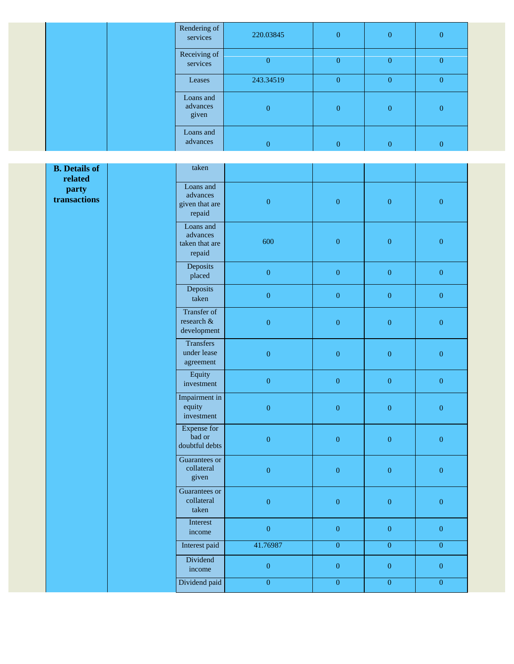|  | Rendering of<br>services       | 220.03845        | $\overline{0}$ | $\mathbf{0}$   | $\overline{0}$ |
|--|--------------------------------|------------------|----------------|----------------|----------------|
|  | Receiving of<br>services       | $\mathbf{0}$     | $\overline{0}$ | $\overline{0}$ | $\overline{0}$ |
|  | Leases                         | 243.34519        | $\overline{0}$ | $\overline{0}$ | $\overline{0}$ |
|  | Loans and<br>advances<br>given | $\mathbf{0}$     | $\overline{0}$ | $\overline{0}$ | $\overline{0}$ |
|  | Loans and<br>advances          | $\boldsymbol{0}$ | $\overline{0}$ | $\overline{0}$ | $\overline{0}$ |

| <b>B.</b> Details of<br>related | taken                                             |                  |                  |                  |                  |
|---------------------------------|---------------------------------------------------|------------------|------------------|------------------|------------------|
| party<br>transactions           | Loans and<br>advances<br>given that are<br>repaid | $\overline{0}$   | $\boldsymbol{0}$ | $\boldsymbol{0}$ | $\overline{0}$   |
|                                 | Loans and<br>advances<br>taken that are<br>repaid | 600              | $\boldsymbol{0}$ | $\overline{0}$   | $\overline{0}$   |
|                                 | Deposits<br>placed                                | $\boldsymbol{0}$ | $\boldsymbol{0}$ | $\boldsymbol{0}$ | $\boldsymbol{0}$ |
|                                 | Deposits<br>taken                                 | $\boldsymbol{0}$ | $\overline{0}$   | $\overline{0}$   | $\mathbf{0}$     |
|                                 | Transfer of<br>research $\&$<br>development       | $\boldsymbol{0}$ | $\boldsymbol{0}$ | $\overline{0}$   | $\boldsymbol{0}$ |
|                                 | <b>Transfers</b><br>under lease<br>agreement      | $\boldsymbol{0}$ | $\boldsymbol{0}$ | $\overline{0}$   | $\boldsymbol{0}$ |
|                                 | Equity<br>investment                              | $\overline{0}$   | $\overline{0}$   | $\overline{0}$   | $\overline{0}$   |
|                                 | Impairment in<br>equity<br>investment             | $\boldsymbol{0}$ | $\boldsymbol{0}$ | $\overline{0}$   | $\boldsymbol{0}$ |
|                                 | <b>Expense for</b><br>bad or<br>doubtful debts    | $\boldsymbol{0}$ | $\boldsymbol{0}$ | $\boldsymbol{0}$ | $\boldsymbol{0}$ |
|                                 | Guarantees or<br>collateral<br>given              | $\boldsymbol{0}$ | $\boldsymbol{0}$ | $\boldsymbol{0}$ | $\boldsymbol{0}$ |
|                                 | Guarantees or<br>collateral<br>taken              | $\boldsymbol{0}$ | $\boldsymbol{0}$ | $\boldsymbol{0}$ | $\boldsymbol{0}$ |
|                                 | Interest<br>income                                | $\boldsymbol{0}$ | $\overline{0}$   | $\overline{0}$   | $\mathbf{0}$     |
|                                 | Interest paid                                     | 41.76987         | $\overline{0}$   | $\overline{0}$   | $\overline{0}$   |
|                                 | Dividend<br>income                                | $\boldsymbol{0}$ | $\boldsymbol{0}$ | $\overline{0}$   | $\boldsymbol{0}$ |
|                                 | Dividend paid                                     | $\overline{0}$   | $\overline{0}$   | $\overline{0}$   | $\overline{0}$   |